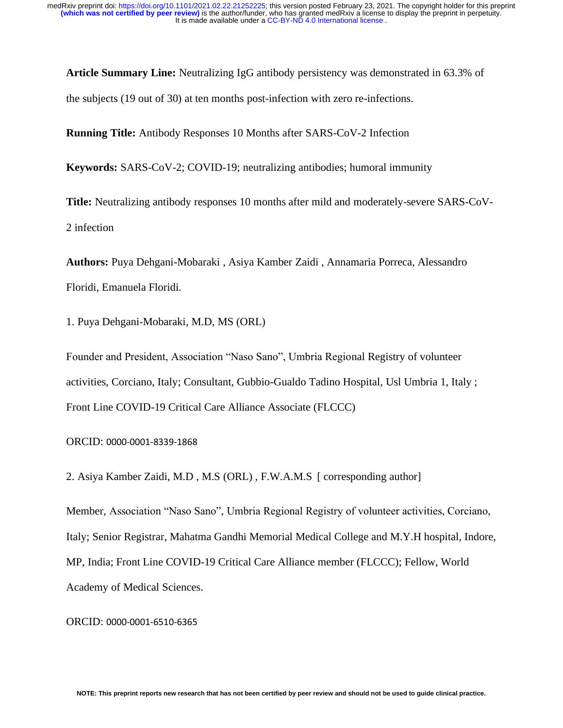**Article Summary Line:** Neutralizing IgG antibody persistency was demonstrated in 63.3% of the subjects (19 out of 30) at ten months post-infection with zero re-infections.

**Running Title:** Antibody Responses 10 Months after SARS-CoV-2 Infection

**Keywords:** SARS-CoV-2; COVID-19; neutralizing antibodies; humoral immunity

**Title:** Neutralizing antibody responses 10 months after mild and moderately-severe SARS-CoV-2 infection

**Authors:** Puya Dehgani-Mobaraki , Asiya Kamber Zaidi , Annamaria Porreca, Alessandro Floridi, Emanuela Floridi.

1. Puya Dehgani-Mobaraki, M.D, MS (ORL)

Founder and President, Association "Naso Sano", Umbria Regional Registry of volunteer activities, Corciano, Italy; Consultant, Gubbio-Gualdo Tadino Hospital, Usl Umbria 1, Italy ; Front Line COVID-19 Critical Care Alliance Associate (FLCCC)

#### ORCID: 0000-0001-8339-1868

2. Asiya Kamber Zaidi, M.D , M.S (ORL) , F.W.A.M.S [ corresponding author]

Member, Association "Naso Sano", Umbria Regional Registry of volunteer activities, Corciano, Italy; Senior Registrar, Mahatma Gandhi Memorial Medical College and M.Y.H hospital, Indore, MP, India; Front Line COVID-19 Critical Care Alliance member (FLCCC); Fellow, World Academy of Medical Sciences.

#### ORCID: 0000-0001-6510-6365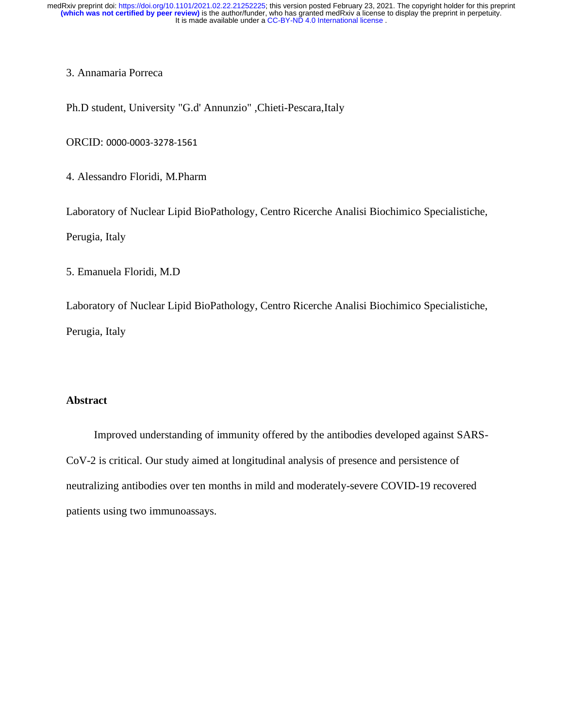## 3. Annamaria Porreca

Ph.D student, University "G.d' Annunzio" ,Chieti-Pescara,Italy

ORCID: 0000-0003-3278-1561

4. Alessandro Floridi, M.Pharm

Laboratory of Nuclear Lipid BioPathology, Centro Ricerche Analisi Biochimico Specialistiche,

Perugia, Italy

5. Emanuela Floridi, M.D

Laboratory of Nuclear Lipid BioPathology, Centro Ricerche Analisi Biochimico Specialistiche, Perugia, Italy

# **Abstract**

 Improved understanding of immunity offered by the antibodies developed against SARS-CoV-2 is critical. Our study aimed at longitudinal analysis of presence and persistence of neutralizing antibodies over ten months in mild and moderately-severe COVID-19 recovered patients using two immunoassays.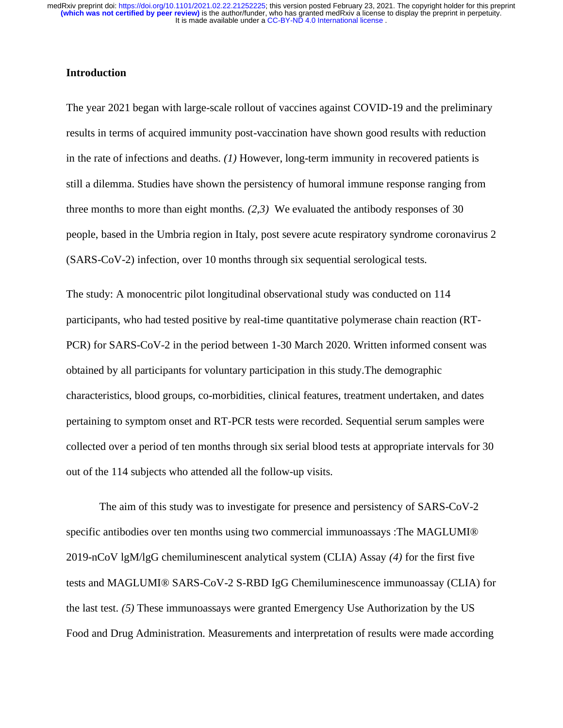## **Introduction**

The year 2021 began with large-scale rollout of vaccines against COVID-19 and the preliminary results in terms of acquired immunity post-vaccination have shown good results with reduction in the rate of infections and deaths. *(1)* However, long-term immunity in recovered patients is still a dilemma. Studies have shown the persistency of humoral immune response ranging from three months to more than eight months. *(2,3)* We evaluated the antibody responses of 30 people, based in the Umbria region in Italy, post severe acute respiratory syndrome coronavirus 2 (SARS-CoV-2) infection, over 10 months through six sequential serological tests.

The study: A monocentric pilot longitudinal observational study was conducted on 114 participants, who had tested positive by real-time quantitative polymerase chain reaction (RT-PCR) for SARS-CoV-2 in the period between 1-30 March 2020. Written informed consent was obtained by all participants for voluntary participation in this study.The demographic characteristics, blood groups, co-morbidities, clinical features, treatment undertaken, and dates pertaining to symptom onset and RT-PCR tests were recorded. Sequential serum samples were collected over a period of ten months through six serial blood tests at appropriate intervals for 30 out of the 114 subjects who attended all the follow-up visits.

The aim of this study was to investigate for presence and persistency of SARS-CoV-2 specific antibodies over ten months using two commercial immunoassays :The MAGLUMI® 2019-nCoV lgM/lgG chemiluminescent analytical system (CLIA) Assay *(4)* for the first five tests and MAGLUMI® SARS-CoV-2 S-RBD IgG Chemiluminescence immunoassay (CLIA) for the last test. *(5)* These immunoassays were granted Emergency Use Authorization by the US Food and Drug Administration. Measurements and interpretation of results were made according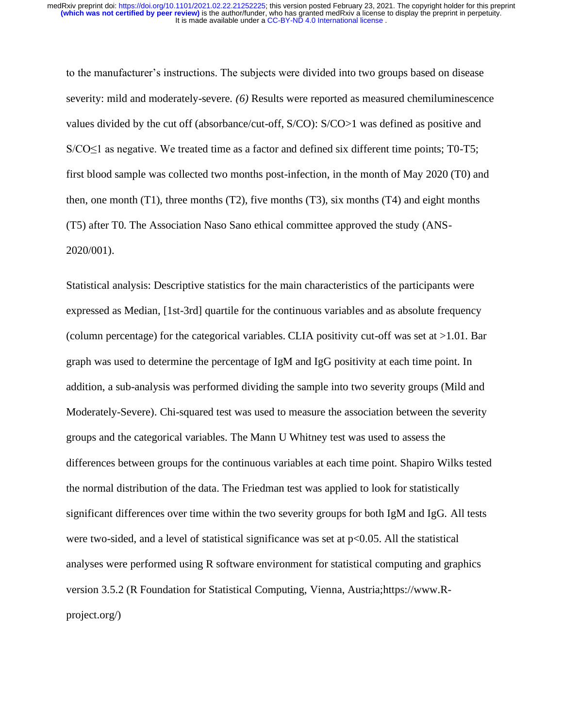to the manufacturer's instructions. The subjects were divided into two groups based on disease severity: mild and moderately-severe*. (6)* Results were reported as measured chemiluminescence values divided by the cut off (absorbance/cut-off, S/CO): S/CO>1 was defined as positive and  $S/CO \leq 1$  as negative. We treated time as a factor and defined six different time points; T0-T5; first blood sample was collected two months post-infection, in the month of May 2020 (T0) and then, one month  $(T1)$ , three months  $(T2)$ , five months  $(T3)$ , six months  $(T4)$  and eight months (T5) after T0. The Association Naso Sano ethical committee approved the study (ANS-2020/001).

Statistical analysis: Descriptive statistics for the main characteristics of the participants were expressed as Median, [1st-3rd] quartile for the continuous variables and as absolute frequency (column percentage) for the categorical variables. CLIA positivity cut-off was set at >1.01. Bar graph was used to determine the percentage of IgM and IgG positivity at each time point. In addition, a sub-analysis was performed dividing the sample into two severity groups (Mild and Moderately-Severe). Chi-squared test was used to measure the association between the severity groups and the categorical variables. The Mann U Whitney test was used to assess the differences between groups for the continuous variables at each time point. Shapiro Wilks tested the normal distribution of the data. The Friedman test was applied to look for statistically significant differences over time within the two severity groups for both IgM and IgG. All tests were two-sided, and a level of statistical significance was set at  $p<0.05$ . All the statistical analyses were performed using R software environment for statistical computing and graphics version 3.5.2 (R Foundation for Statistical Computing, Vienna, Austria;https://www.Rproject.org/)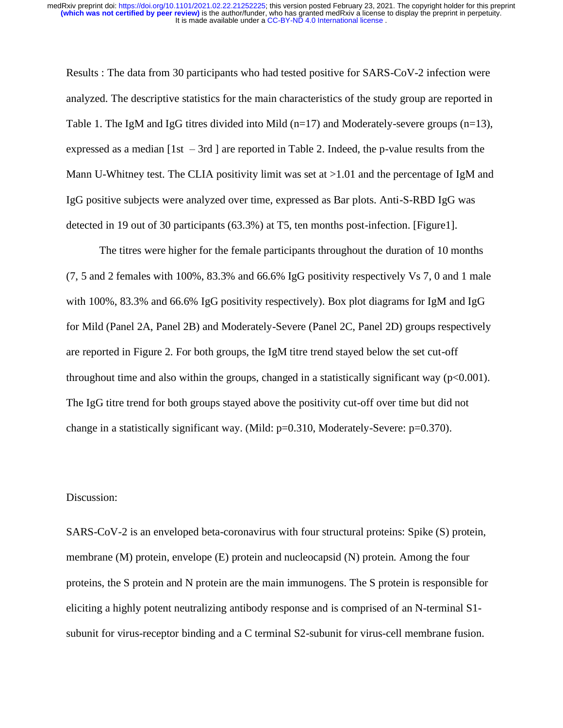Results : The data from 30 participants who had tested positive for SARS-CoV-2 infection were analyzed. The descriptive statistics for the main characteristics of the study group are reported in Table 1. The IgM and IgG titres divided into Mild  $(n=17)$  and Moderately-severe groups  $(n=13)$ , expressed as a median  $[1st - 3rd]$  are reported in Table 2. Indeed, the p-value results from the Mann U-Whitney test. The CLIA positivity limit was set at >1.01 and the percentage of IgM and IgG positive subjects were analyzed over time, expressed as Bar plots. Anti-S-RBD IgG was detected in 19 out of 30 participants (63.3%) at T5, ten months post-infection. [Figure1].

The titres were higher for the female participants throughout the duration of 10 months (7, 5 and 2 females with 100%, 83.3% and 66.6% IgG positivity respectively Vs 7, 0 and 1 male with 100%, 83.3% and 66.6% IgG positivity respectively). Box plot diagrams for IgM and IgG for Mild (Panel 2A, Panel 2B) and Moderately-Severe (Panel 2C, Panel 2D) groups respectively are reported in Figure 2. For both groups, the IgM titre trend stayed below the set cut-off throughout time and also within the groups, changed in a statistically significant way  $(p<0.001)$ . The IgG titre trend for both groups stayed above the positivity cut-off over time but did not change in a statistically significant way. (Mild: p=0.310, Moderately-Severe: p=0.370).

# Discussion:

SARS-CoV-2 is an enveloped beta-coronavirus with four structural proteins: Spike (S) protein, membrane (M) protein, envelope (E) protein and nucleocapsid (N) protein. Among the four proteins, the S protein and N protein are the main immunogens. The S protein is responsible for eliciting a highly potent neutralizing antibody response and is comprised of an N-terminal S1 subunit for virus-receptor binding and a C terminal S2-subunit for virus-cell membrane fusion.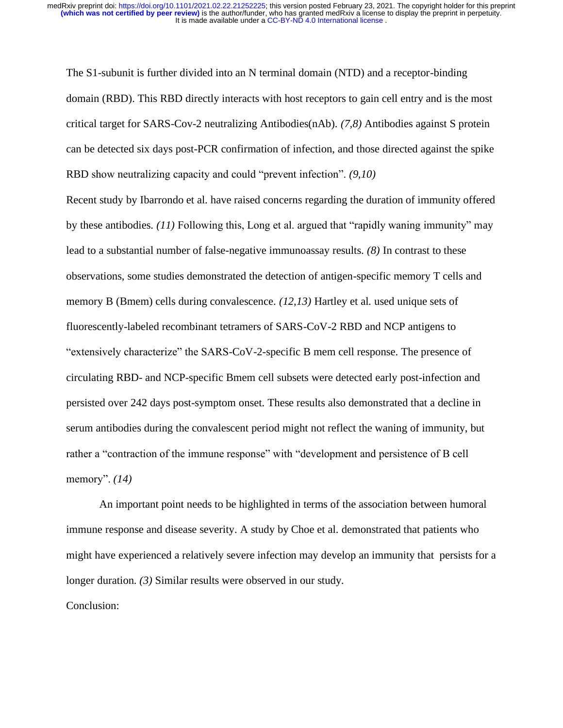The S1-subunit is further divided into an N terminal domain (NTD) and a receptor-binding domain (RBD). This RBD directly interacts with host receptors to gain cell entry and is the most critical target for SARS-Cov-2 neutralizing Antibodies(nAb). *(7,8)* Antibodies against S protein can be detected six days post-PCR confirmation of infection, and those directed against the spike RBD show neutralizing capacity and could "prevent infection". *(9,10)* 

Recent study by Ibarrondo et al. have raised concerns regarding the duration of immunity offered by these antibodies. *(11)* Following this, Long et al. argued that "rapidly waning immunity" may lead to a substantial number of false-negative immunoassay results. *(8)* In contrast to these observations, some studies demonstrated the detection of antigen-specific memory T cells and memory B (Bmem) cells during convalescence. *(12,13)* Hartley et al. used unique sets of fluorescently-labeled recombinant tetramers of SARS-CoV-2 RBD and NCP antigens to "extensively characterize" the SARS-CoV-2-specific B mem cell response. The presence of circulating RBD- and NCP-specific Bmem cell subsets were detected early post-infection and persisted over 242 days post-symptom onset. These results also demonstrated that a decline in serum antibodies during the convalescent period might not reflect the waning of immunity, but rather a "contraction of the immune response" with "development and persistence of B cell memory". *(14)*

An important point needs to be highlighted in terms of the association between humoral immune response and disease severity. A study by Choe et al. demonstrated that patients who might have experienced a relatively severe infection may develop an immunity that persists for a longer duration. *(3)* Similar results were observed in our study. Conclusion: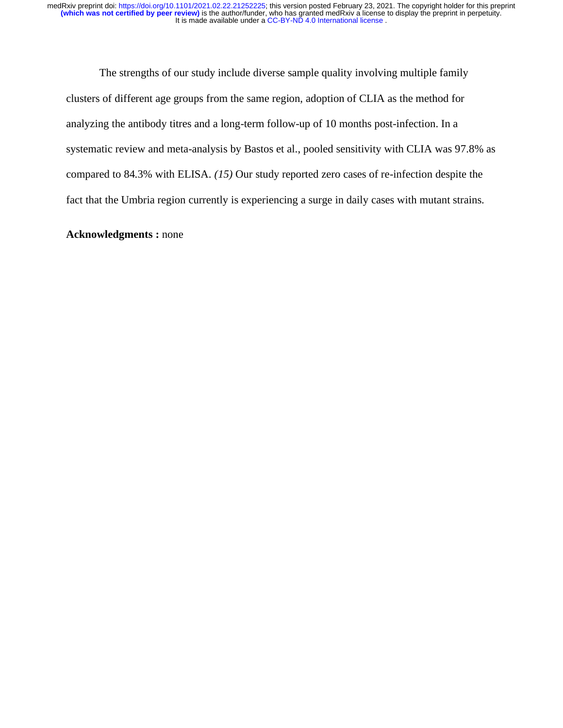The strengths of our study include diverse sample quality involving multiple family clusters of different age groups from the same region, adoption of CLIA as the method for analyzing the antibody titres and a long-term follow-up of 10 months post-infection. In a systematic review and meta-analysis by Bastos et al., pooled sensitivity with CLIA was 97.8% as compared to 84.3% with ELISA. *(15)* Our study reported zero cases of re-infection despite the fact that the Umbria region currently is experiencing a surge in daily cases with mutant strains.

### **Acknowledgments :** none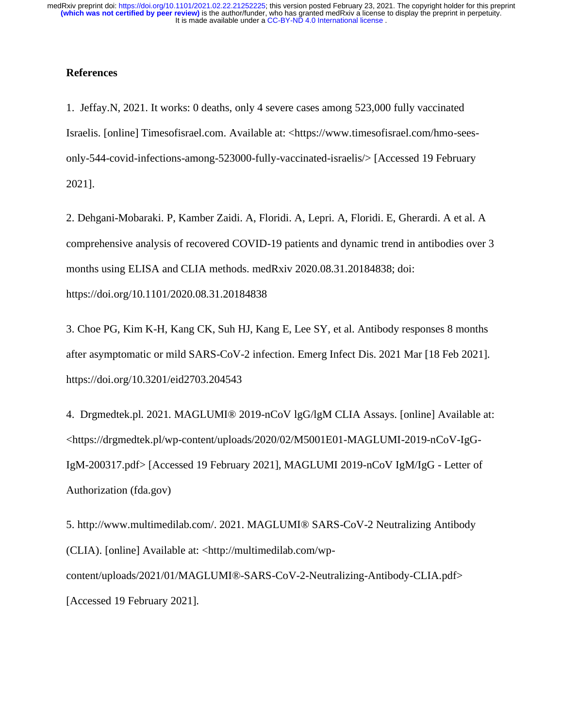# **References**

1. Jeffay.N, 2021. It works: 0 deaths, only 4 severe cases among 523,000 fully vaccinated Israelis. [online] Timesofisrael.com. Available at: <https://www.timesofisrael.com/hmo-seesonly-544-covid-infections-among-523000-fully-vaccinated-israelis/> [Accessed 19 February 2021].

2. Dehgani-Mobaraki. P, Kamber Zaidi. A, Floridi. A, Lepri. A, Floridi. E, Gherardi. A et al. A comprehensive analysis of recovered COVID-19 patients and dynamic trend in antibodies over 3 months using ELISA and CLIA methods. medRxiv 2020.08.31.20184838; doi: https://doi.org/10.1101/2020.08.31.20184838

3. Choe PG, Kim K-H, Kang CK, Suh HJ, Kang E, Lee SY, et al. Antibody responses 8 months after asymptomatic or mild SARS-CoV-2 infection. Emerg Infect Dis. 2021 Mar [18 Feb 2021]. https://doi.org/10.3201/eid2703.204543

4. Drgmedtek.pl. 2021. MAGLUMI® 2019-nCoV lgG/lgM CLIA Assays. [online] Available at: <https://drgmedtek.pl/wp-content/uploads/2020/02/M5001E01-MAGLUMI-2019-nCoV-IgG-IgM-200317.pdf> [Accessed 19 February 2021], MAGLUMI 2019-nCoV IgM/IgG - Letter of Authorization (fda.gov)

5. http://www.multimedilab.com/. 2021. MAGLUMI® SARS-CoV-2 Neutralizing Antibody (CLIA). [online] Available at: <http://multimedilab.com/wpcontent/uploads/2021/01/MAGLUMI®️-SARS-CoV-2-Neutralizing-Antibody-CLIA.pdf> [Accessed 19 February 2021].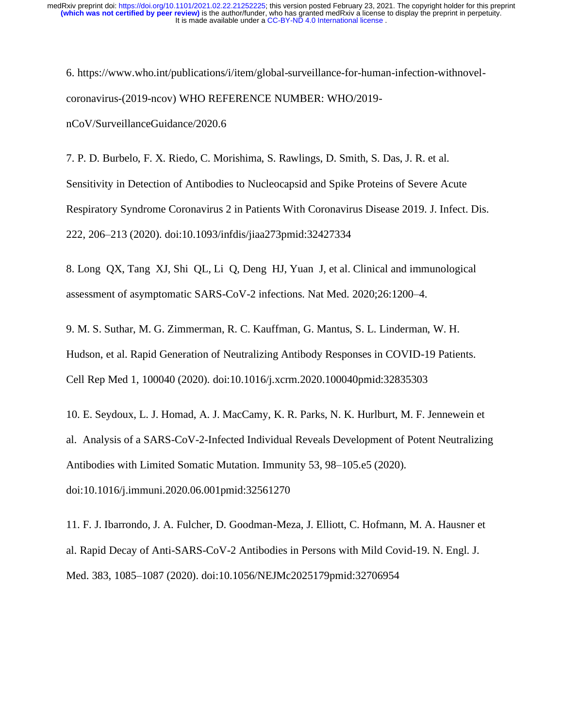6. https://www.who.int/publications/i/item/global-surveillance-for-human-infection-withnovelcoronavirus-(2019-ncov) WHO REFERENCE NUMBER: WHO/2019 nCoV/SurveillanceGuidance/2020.6

7. P. D. Burbelo, F. X. Riedo, C. Morishima, S. Rawlings, D. Smith, S. Das, J. R. et al. Sensitivity in Detection of Antibodies to Nucleocapsid and Spike Proteins of Severe Acute Respiratory Syndrome Coronavirus 2 in Patients With Coronavirus Disease 2019. J. Infect. Dis. 222, 206–213 (2020). doi:10.1093/infdis/jiaa273pmid:32427334

8. Long QX, Tang XJ, Shi QL, Li Q, Deng HJ, Yuan J, et al. Clinical and immunological assessment of asymptomatic SARS-CoV-2 infections. Nat Med. 2020;26:1200–4.

9. M. S. Suthar, M. G. Zimmerman, R. C. Kauffman, G. Mantus, S. L. Linderman, W. H. Hudson, et al. Rapid Generation of Neutralizing Antibody Responses in COVID-19 Patients. Cell Rep Med 1, 100040 (2020). doi:10.1016/j.xcrm.2020.100040pmid:32835303

10. E. Seydoux, L. J. Homad, A. J. MacCamy, K. R. Parks, N. K. Hurlburt, M. F. Jennewein et al. Analysis of a SARS-CoV-2-Infected Individual Reveals Development of Potent Neutralizing Antibodies with Limited Somatic Mutation. Immunity 53, 98–105.e5 (2020). doi:10.1016/j.immuni.2020.06.001pmid:32561270

11. F. J. Ibarrondo, J. A. Fulcher, D. Goodman-Meza, J. Elliott, C. Hofmann, M. A. Hausner et al. Rapid Decay of Anti-SARS-CoV-2 Antibodies in Persons with Mild Covid-19. N. Engl. J. Med. 383, 1085–1087 (2020). doi:10.1056/NEJMc2025179pmid:32706954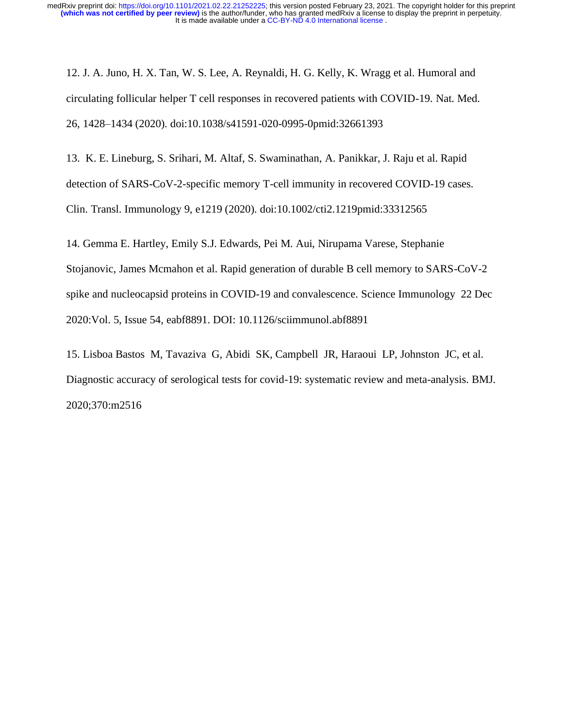12. J. A. Juno, H. X. Tan, W. S. Lee, A. Reynaldi, H. G. Kelly, K. Wragg et al. Humoral and circulating follicular helper T cell responses in recovered patients with COVID-19. Nat. Med. 26, 1428–1434 (2020). doi:10.1038/s41591-020-0995-0pmid:32661393

13. K. E. Lineburg, S. Srihari, M. Altaf, S. Swaminathan, A. Panikkar, J. Raju et al. Rapid detection of SARS-CoV-2-specific memory T-cell immunity in recovered COVID-19 cases. Clin. Transl. Immunology 9, e1219 (2020). doi:10.1002/cti2.1219pmid:33312565

14. Gemma E. Hartley, Emily S.J. Edwards, Pei M. Aui, Nirupama Varese, Stephanie Stojanovic, James Mcmahon et al. Rapid generation of durable B cell memory to SARS-CoV-2 spike and nucleocapsid proteins in COVID-19 and convalescence. Science Immunology 22 Dec 2020:Vol. 5, Issue 54, eabf8891. DOI: 10.1126/sciimmunol.abf8891

15. Lisboa Bastos M, Tavaziva G, Abidi SK, Campbell JR, Haraoui LP, Johnston JC, et al. Diagnostic accuracy of serological tests for covid-19: systematic review and meta-analysis. BMJ. 2020;370:m2516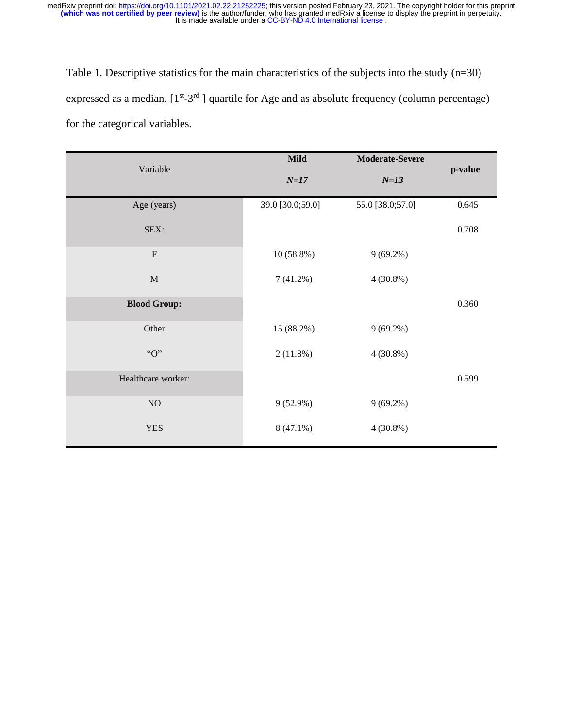Table 1. Descriptive statistics for the main characteristics of the subjects into the study (n=30) expressed as a median,  $[1<sup>st-3<sup>rd</sup>]</sup>$  quartile for Age and as absolute frequency (column percentage) for the categorical variables.

|                     | <b>Mild</b>      | <b>Moderate-Severe</b> |         |  |
|---------------------|------------------|------------------------|---------|--|
| Variable            | $N=17$           | $N=13$                 | p-value |  |
| Age (years)         | 39.0 [30.0;59.0] | 55.0 [38.0;57.0]       | 0.645   |  |
| SEX:                |                  |                        | 0.708   |  |
| $\mathbf F$         | $10(58.8\%)$     | $9(69.2\%)$            |         |  |
| $\mathbf M$         | $7(41.2\%)$      | $4(30.8\%)$            |         |  |
| <b>Blood Group:</b> |                  |                        | 0.360   |  |
| Other               | 15 (88.2%)       | $9(69.2\%)$            |         |  |
| "O"                 | 2(11.8%)         | $4(30.8\%)$            |         |  |
| Healthcare worker:  |                  |                        | 0.599   |  |
| $\rm NO$            | $9(52.9\%)$      | $9(69.2\%)$            |         |  |
| <b>YES</b>          | $8(47.1\%)$      | $4(30.8\%)$            |         |  |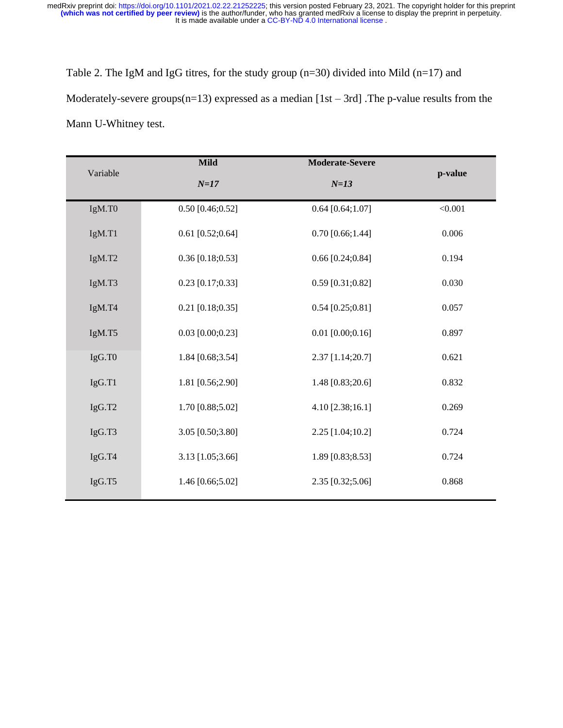Table 2. The IgM and IgG titres, for the study group (n=30) divided into Mild (n=17) and Moderately-severe groups( $n=13$ ) expressed as a median [1st – 3rd]. The p-value results from the Mann U-Whitney test.

|          | <b>Mild</b><br><b>Moderate-Severe</b><br>$N=17$<br>$N=13$ |                    |         |
|----------|-----------------------------------------------------------|--------------------|---------|
| Variable |                                                           |                    | p-value |
| IgM.TO   | $0.50$ [0.46;0.52]                                        | $0.64$ [0.64;1.07] | < 0.001 |
| IgM.T1   | $0.61$ [0.52;0.64]                                        | $0.70$ [0.66;1.44] | 0.006   |
| IgM.T2   | $0.36$ [0.18;0.53]                                        | $0.66$ [0.24;0.84] | 0.194   |
| IgM.T3   | $0.23$ [0.17;0.33]                                        | $0.59$ [0.31;0.82] | 0.030   |
| IgM.T4   | $0.21$ [0.18;0.35]                                        | $0.54$ [0.25;0.81] | 0.057   |
| IgM.T5   | $0.03$ [0.00;0.23]                                        | $0.01$ [0.00;0.16] | 0.897   |
| IgG.T0   | 1.84 [0.68;3.54]                                          | 2.37 [1.14;20.7]   | 0.621   |
| IgG.T1   | 1.81 [0.56;2.90]                                          | 1.48 [0.83;20.6]   | 0.832   |
| IgG.T2   | 1.70 [0.88;5.02]                                          | 4.10 [2.38;16.1]   | 0.269   |
| IgG.T3   | 3.05 [0.50;3.80]                                          | 2.25 [1.04;10.2]   | 0.724   |
| IgG.T4   | 3.13 [1.05;3.66]                                          | 1.89 [0.83;8.53]   | 0.724   |
| IgG.T5   | 1.46 [0.66;5.02]                                          | 2.35 [0.32;5.06]   | 0.868   |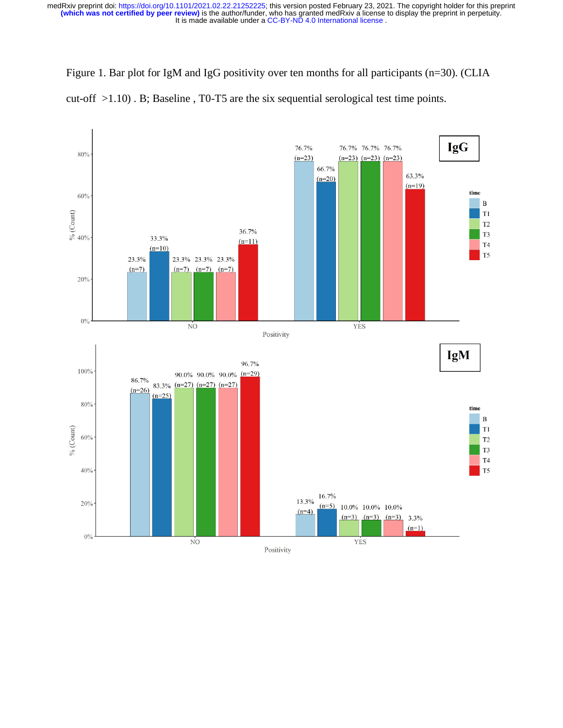It is made available under a CC-BY-ND 4.0 International license. **(which was not certified by peer review)** is the author/funder, who has granted medRxiv a license to display the preprint in perpetuity. medRxiv preprint doi: [https://doi.org/10.1101/2021.02.22.21252225;](https://doi.org/10.1101/2021.02.22.21252225) this version posted February 23, 2021. The copyright holder for this preprint

Figure 1. Bar plot for IgM and IgG positivity over ten months for all participants (n=30). (CLIA cut-off >1.10) . B; Baseline , T0-T5 are the six sequential serological test time points.